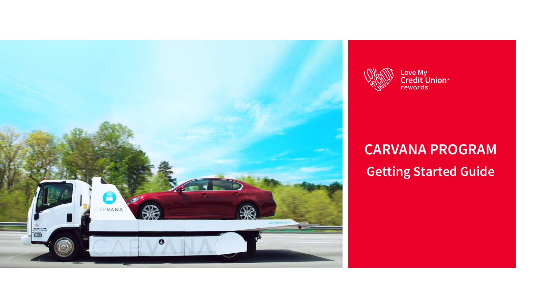



Love My<br>Credit Union®<br>rewards

# **CARVANA PROGRAM Getting Started Guide**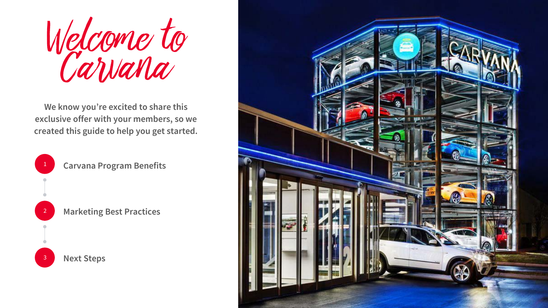Welcome to Carvana

**We know you're excited to share this exclusive offer with your members, so we created this guide to help you get started.** 



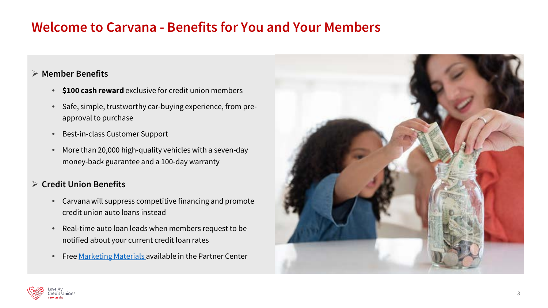## **Welcome to Carvana - Benefits for You and Your Members**

#### **Member Benefits**

- **\$100 cash reward** exclusive for credit union members
- Safe, simple, trustworthy car-buying experience, from preapproval to purchase
- Best-in-class Customer Support
- More than 20,000 high-quality vehicles with a seven-day money-back guarantee and a 100-day warranty

### **Credit Union Benefits**

- Carvana will suppress competitive financing and promote credit union auto loans instead
- Real-time auto loan leads when members request to be notified about your current credit loan rates
- Free [Marketing Materials a](https://partnercenter.lovemycreditunion.org/carvana-marketing-materials)vailable in the Partner Center



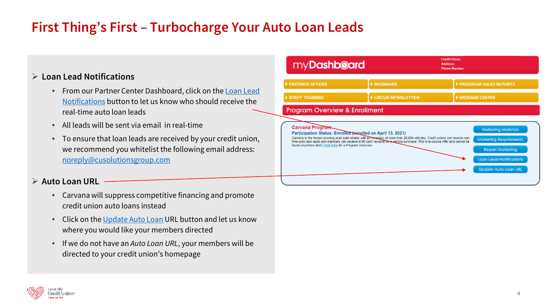# **First Thing's First – Turbocharge Your Auto Loan Leads**

### **Loan Lead Notifications**

- [From our Partner Center Dashboard, click on the Loan Lead](https://partnercenter.lovemycreditunion.org/dashboard?carvana_loan_lead=y) Notifications button to let us know who should receive the real-time auto loan leads
- All leads will be sent via email in real-time
- To ensure that loan leads are received by your credit union, we recommend you whitelist the following email address: [noreply@cusolutionsgroup.com](mailto:noreply@cusolutionsgroup.com)

#### **► Auto Loan URL**

- Carvana will suppress competitive financing and promote credit union auto loans instead
- Click on the [Update Auto Loan](https://partnercenter.lovemycreditunion.org/dashboard?carvana_loan_url=y) URL button and let us know where you would like your members directed
- If we do not have an *Auto Loan URL*, your members will be directed to your credit union's homepage



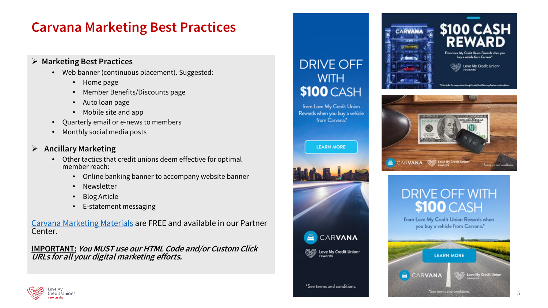### **Carvana Marketing Best Practices**

#### **Marketing Best Practices**

- Web banner (continuous placement). Suggested:
	- Home page
	- Member Benefits/Discounts page
	- Auto loan page
	- Mobile site and app
- Quarterly email or e-news to members
- Monthly social media posts

#### **Ancillary Marketing**

- Other tactics that credit unions deem effective for optimal member reach:
	- Online banking banner to accompany website banner
	- **Newsletter**
	- Blog Article
	- E-statement messaging

[Carvana Marketing Materials](https://partnercenter.lovemycreditunion.org/carvana-marketing-materials) are FREE and available in our Partner Center.

**IMPORTANT: You MUST use our HTML Code and/or Custom Click URLs for all your digital marketing efforts.**

### **DRIVE OFF WITH** \$100 CASH

from Love My Credit Union Rewards when you buy a vehicle from Carvana."









from Love My Credit Union Rewards when you buy a vehicle from Carvana."



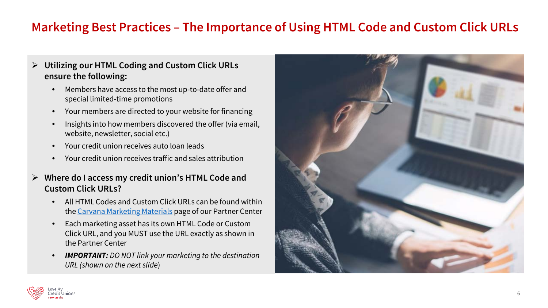### **Marketing Best Practices – The Importance of Using HTML Code and Custom Click URLs**

### **Utilizing our HTML Coding and Custom Click URLs ensure the following:**

- Members have access to the most up-to-date offer and special limited-time promotions
- Your members are directed to your website for financing
- Insights into how members discovered the offer (via email, website, newsletter, social etc.)
- Your credit union receives auto loan leads
- Your credit union receives traffic and sales attribution
- **Where do I access my credit union's HTML Code and Custom Click URLs?**
	- All HTML Codes and Custom Click URLs can be found within the [Carvana Marketing Materials](https://partnercenter.lovemycreditunion.org/carvana-marketing-materials) page of our Partner Center
	- Each marketing asset has its own HTML Code or Custom Click URL, and you MUST use the URL exactly as shown in the Partner Center
	- *IMPORTANT: DO NOT link your marketing to the destination URL (shown on the next slide*)



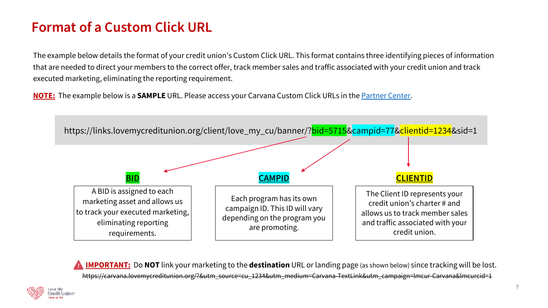# **Format of a Custom Click URL**

The example below details the format of your credit union's Custom Click URL. This format contains three identifying pieces of information that are needed to direct your members to the correct offer, track member sales and traffic associated with your credit union and track executed marketing, eliminating the reporting requirement.

**NOTE:** The example below is a **SAMPLE** URL. Please access your Carvana Custom Click URLs in the [Partner Center](https://partnercenter.lovemycreditunion.org/carvana-marketing-materials).



**IMPORTANT:** Do **NOT** link your marketing to the **destination** URL or landing page (as shown below) since tracking will be lost. https://carvana.lovemycreditunion.org/?&utm\_source=cu\_1234&utm\_medium=Carvana-TextLink&utm\_campaign=lmcur-Carvana&lmcurcid=1